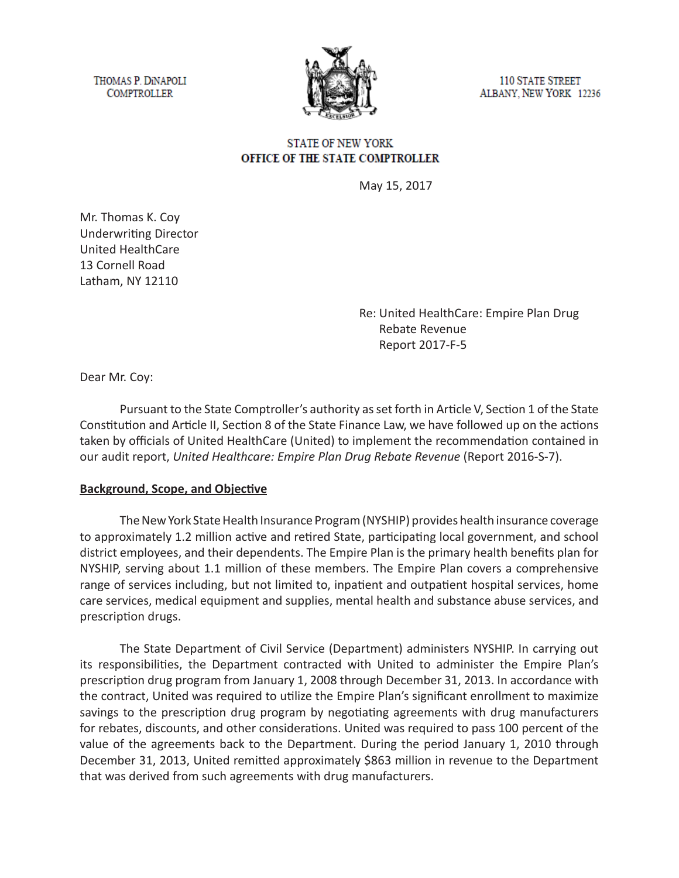THOMAS P. DINAPOLI **COMPTROLLER** 



110 STATE STREET ALBANY, NEW YORK 12236

#### **STATE OF NEW YORK** OFFICE OF THE STATE COMPTROLLER

May 15, 2017

Mr. Thomas K. Coy Underwriting Director United HealthCare 13 Cornell Road Latham, NY 12110

> Re: United HealthCare: Empire Plan Drug Rebate Revenue Report 2017-F-5

Dear Mr. Coy:

Pursuant to the State Comptroller's authority as set forth in Article V, Section 1 of the State Constitution and Article II, Section 8 of the State Finance Law, we have followed up on the actions taken by officials of United HealthCare (United) to implement the recommendation contained in our audit report, *United Healthcare: Empire Plan Drug Rebate Revenue* (Report 2016-S-7).

#### **Background, Scope, and Objective**

The New York State Health Insurance Program (NYSHIP) provides health insurance coverage to approximately 1.2 million active and retired State, participating local government, and school district employees, and their dependents. The Empire Plan is the primary health benefits plan for NYSHIP, serving about 1.1 million of these members. The Empire Plan covers a comprehensive range of services including, but not limited to, inpatient and outpatient hospital services, home care services, medical equipment and supplies, mental health and substance abuse services, and prescription drugs.

The State Department of Civil Service (Department) administers NYSHIP. In carrying out its responsibilities, the Department contracted with United to administer the Empire Plan's prescription drug program from January 1, 2008 through December 31, 2013. In accordance with the contract, United was required to utilize the Empire Plan's significant enrollment to maximize savings to the prescription drug program by negotiating agreements with drug manufacturers for rebates, discounts, and other considerations. United was required to pass 100 percent of the value of the agreements back to the Department. During the period January 1, 2010 through December 31, 2013, United remitted approximately \$863 million in revenue to the Department that was derived from such agreements with drug manufacturers.